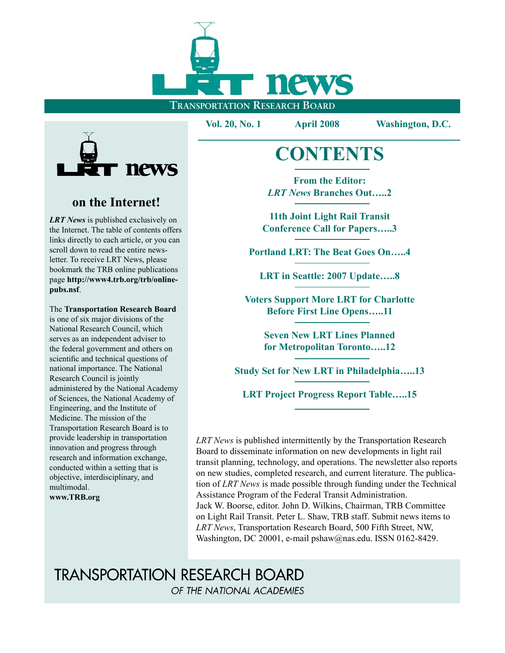

**Vol. 20, No. 1 April 2008 Washington, D.C.** 



#### **on the Internet!**

*LRT News* is published exclusively the Internet. The table of contents offers links directly to each article, or you can thinks directly to each affect, of you can scron down to read the entire news-<br>letter. To receive LRT News, please bookmark the TRB online publications continued in the other publications<br>ago **http://www.4.trb.org/trb/online** page **http://www4.trb.org/trb/online-**<br>pubs ns**f http://www4.trb.org/trb/online** *LRT News* is published exclusively on **[pubs.nsf](www.trb.org)**.

**pubs.nsf.** The **Transportation Research Board** is one of six major divisions of the

National Research Council, which serves as an independent adviser to the federal government and others on scientific and technical questions of national importance. The National Research Council is jointly administered by the National Academy of Sciences, the National Academy of Engineering, and the Institute of Engineering, and the institute of Medicine. The mission of the to the resource of the entire scientific and  $\mathbf{r} = \mathbf{r} - \mathbf{r} + \mathbf{r}$ Transportation Research Board is to provide leadership in transportation innovation and progress through research and information exchange, conducted within a setting that is objective, interdisciplinary, and multimodal.

**[www.TRB.org](www.trb.org)**

**CONTENTS CONTENTS**

 $From the Editor:$ **Antitax Pranches Calling** *LRT News* **[Branches Out](#page-1-0)…..2**

> **11th Joint Light Rail Transit [Conference Call for Papers](#page-2-0)…..3**

**You Can Learn a Lot on the Bus . . . . 11 [Portland LRT: The Beat Goes On…](#page-3-0)..4**

**"New" Streetcars Begin Running in Tacoma . . . . 13 Related Transit Links . . . . 15 [LRT in Seattle: 2007 Update…](#page-7-0)..8**

> **[Voters Support More LRT for Charlotte](#page-10-0)  [Before First Line Opens…](#page-10-0)..11**

> > **[Seven New LRT Lines Planned](#page-11-0)  [for Metropolitan Toronto…](#page-11-0)..12**

**[Study Set for New LRT in Philadelphia](#page-12-0)…..13**

**[LRT Project Progress Report Table…](#page-14-0)..15**

**9 13**

*LRT News* is published intermittently by the Transportation Research *LRT News* is published intermittently by the Transportation Research Board to disseminate information on new developments in light rail Board to disseminate information on new developments in light rail transit planning, technology, and operations. The newsletter also reports on new studies, completed research, and current literature. The publication of *LRT News* is made possible through funding under the Technical Assistance Program of the Federal Transit Administration. Jack W. Boorse, editor. John D. Wilkins, Chairman, TRB Committee on Light Rail Transit. Peter L. Shaw, TRB staff. Submit news items to news items to *LRT News,* Transportation Research Board, 500 Fifth *LRT News*, Transportation Research Board, 500 Fifth Street, NW, Washington, DC 20001, e-mail pshaw@nas.edu. ISSN 0162-8429.  $\overline{0}$ 

## **TRANSPORTATION RESEARCH BOARD** OF THE NATIONAL ACADEMIES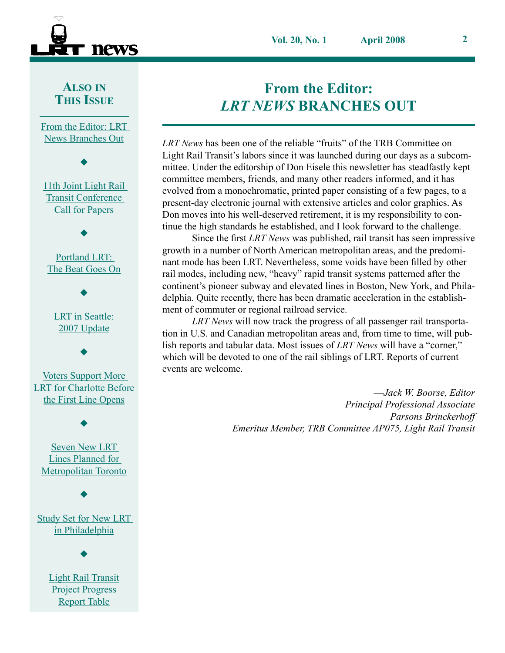<span id="page-1-0"></span>

<u>ni uit Luitvi. L</u><br>.... Deeselses C News Branches Out From the Editor: LRT

to Tampa

 $\blacklozenge$ 

11th Joint Light Rail Transit Conference [Call for Papers](#page-2-0)

Portland LRT: [The Beat Goes On](#page-3-0)

King of the Road

 $\blacklozenge$ 

LRT in Seattle: 2007 Update

 $\blacklozenge$ 

Voters Support More [LRT for Charlotte Before](#page-10-0)  [the First Line Opens](#page-10-0)

★

 $\blacklozenge$ 

[Seven New LRT](#page-11-0)  [Lines Planned for](#page-11-0)  [Metropolitan Toronto](#page-11-0)

 $\blacklozenge$ 

 $\blacklozenge$ 

[Study Set for New LRT](#page-12-0)  [in Philadelphia](#page-12-0)

 $\blacklozenge$ 

Light Rail Transit Project Progress Report Table

## **From the Editor: LRT NEWS BRANCHES OUT**

**TECO Line Connects Major City Sites for** 

LRT News has been one of the reliable "fruits" of the TRB Committee on mittee. Under the editorship of Don Eisele this newsletter has steadfastly kept to Tampa as the new Technology, included from a monochromatic, printed paper consisting of a few pages, to a present-day electronic journal with extensive articles and color graphics. As Don moves into his well-deserved retirement, it is my responsibility to continue the high standards he established, and I look forward to the challenge. Light Rail Transit's labors since it was launched during our days as a subcomcommittee members, friends, and many other readers informed, and it has

Since the first *LRT News* was published, rail transit has seen impressive growth in a number of North American metropolitan areas, and the predominant mode has been LRT. Nevertheless, some voids have been filled by other rail modes, including new, "heavy" rapid transit systems patterned after the that in profit that system of the new lines in Boston, i.e.w. for the new line began in the establish-<br>delphia. Quite recently, there has been dramatic acceleration in the establishnext with the formation of the Tampa Street Rail-<br>ment of commuter or regional railroad service. continent's pioneer subway and elevated lines in Boston, New York, and Phila-

*LRT News* will now track the progress of all passenger rail transportation in U.S. and Canadian metropolitan areas and, from time to time, will publish reports and tabular data. Most issues of *LRT News* will have a "corner," which will be devoted to one of the rail siblings of LRT. Reports of current events are welcome.

 $T \sim I \times D$ name the new system The TECO Line, although it is actually *Principal Professional Associate*  **Completely New Route** —*Jack W. Boorse, Editor Parsons Brinckerhoff Emeritus Member, TRB Committee AP075, Light Rail Transit*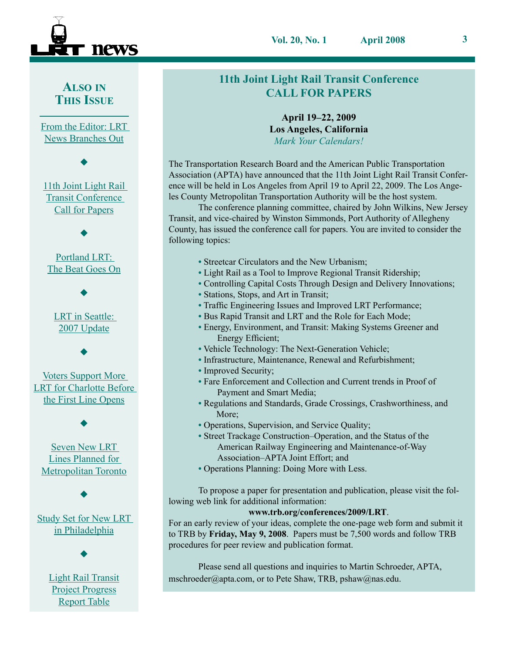<span id="page-2-0"></span>

<u>ni uit Luitvi. L</u><br>.... Deeselses C [News Branches Out](#page-1-0) [From the Editor: LRT](#page-1-0) 

to Tampa

 $\blacklozenge$ 

11th Joint Light Rail Transit Conference Call for Papers

Portland LRT: [The Beat Goes On](#page-3-0)

King of the Road

 $\blacklozenge$ 

LRT in Seattle: 2007 Update

 $\blacklozenge$ 

Voters Support More [LRT for Charlotte Before](#page-10-0)  [the First Line Opens](#page-10-0)

 $\blacklozenge$ 

★

 $\blacklozenge$ 

[Seven New LRT](#page-11-0)  [Lines Planned for](#page-11-0)  [Metropolitan Toronto](#page-11-0)

 $\blacklozenge$ 

[Study Set for New LRT](#page-12-0)  [in Philadelphia](#page-12-0)

 $\blacklozenge$ 

Light Rail Transit Project Progress Report Table

#### **CALL FOR PAPERS RETURN TO TAMPA 11th Joint Light Rail Transit Conference**

**TECO Line Connects Major Connects Major Connects Major Connects (September 2018) Tourists, Commuters, Commuters** *Mark Your Calendars!* **April 19–22, 2009**

Association (APTA) have announced that the 11th Joint Light Rail Transit Conference will be held in Los Angeles from April 19 to April 22, 2009. The Los Angeles County Metropolitan Transportation Authority will be the host system. The Transportation Research Board and the American Public Transportation

The conference planning committee, chaired by John Wilkins, New Jersey<br>Transit and rise, absired by Winsten Simmands, Dept Authority of Allachemy Fransit, and vice-enanced by winston simmones, I ordered to the expectation of the county, has issued the conference call for papers. You are invited to consider the  $\frac{1}{\sqrt{1-\frac{1}{\sqrt{1-\frac{1}{\sqrt{1-\frac{1}{\sqrt{1-\frac{1}{\sqrt{1-\frac{1}{\sqrt{1-\frac{1}{\sqrt{1-\frac{1}{\sqrt{1-\frac{1}{\sqrt{1-\frac{1}{\sqrt{1-\frac{1}{\sqrt{1-\frac{1}{\sqrt{1-\frac{1}{\sqrt{1-\frac{1}{\sqrt{1-\frac{1}{\sqrt{1-\frac{1}{\sqrt{1-\frac{1}{\sqrt{1-\frac{1}{\sqrt{1-\frac{1}{\sqrt{1-\frac{1}{\sqrt{1-\frac{1}{\sqrt{1-\frac{1}{\sqrt{1-\frac{1}{\sqrt{1-\frac{1}{\sqrt{1-\frac{1$ Transit, and vice-chaired by Winston Simmonds, Port Authority of Allegheny

- 1946 when, as happened in so many other cities, they were • Streetcar Circulators and the New Urbanism;<br> **Contract the Street of the New Urbanism**;
	- **•** Light Rail as a Tool to Improve Regional Transit Ridership;
- Light Kartlas a 1001 to improve Regional Transit Kidersinp,<br>• Controlling Capital Costs Through Design and Delivery Innovations;
- **•** Stations, Stops, and Art in Transit;
- **•** Traffic Engineering Issues and Improved LRT Performance;
- Bus Rapid Transit and LRT and the Role for Each Mode;
- Energy, Environment, and Transit: Making Systems Greener and Francisco Tampa and Hartline Energy, Efficient: Energy Efficient;
- **•• Vehicle Technology: The Next-Generation Vehicle;**
- **•** Infrastructure, Maintenance, Renewal and Refurbishment;
- **•** Improved Security; **•** Improved Security;
- Fare Enforcement and Collection and Current trends in Proof of Payment and Smart Media;
- **•** Regulations and Standards, Grade Crossings, Crashworthiness, and operated by Hartline.
	- **•** Operations, Supervision, and Service Quality;
- **•** Street Trackage Construction–Operation, and the Status of the Association–APTA Joint Effort; and American Railway Engineering and Maintenance-of-Way
- **•** Operations Planning: Doing More with Less.

nucleus of an expanded system. The current portion runs from To propose a paper for presentation and publication, please visit the fol-<br>lowing web link for additional information. lowing web link for additional information:

### passing web find for determined information.<br>[www.trb.org/conferences/2009/LRT](www.trb.org/conferences/2009/LRT. ).

For an early review of your ideas, complete the one-page web form and submit it to TRB by Friday, May 9, 2008. Papers must be 7,500 words and follow TRB procedures for peer review and publication format.

Please send all questions and inquiries to Martin Schroeder, APTA, mschroeder@apta.com, or to Pete Shaw, TRB, pshaw@nas.edu. service begins, customers are mainly tourists and cruise ship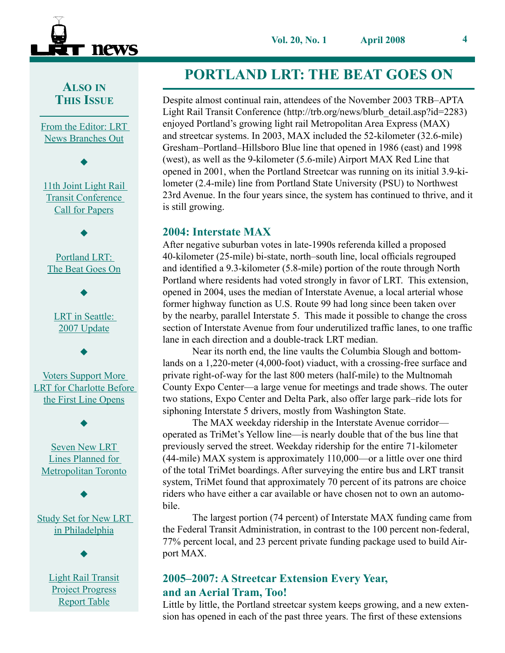<span id="page-3-0"></span>

<u>ni uit Luitvi. L</u><br>.... Deeselses C [News Branches Out](#page-1-0) [From the Editor: LRT](#page-1-0) 

to Tampa

 $\blacklozenge$ 

11th Joint Light Rail Transit Conference [Call for Papers](#page-2-0)

Portland LRT: The Beat Goes On

King of the Road

 $\blacklozenge$ 

LRT in Seattle: 2007 Update

 $\blacklozenge$ 

Voters Support More [LRT for Charlotte Before](#page-10-0)  [the First Line Opens](#page-10-0)

★

 $\blacklozenge$ 

[Seven New LRT](#page-11-0)  [Lines Planned for](#page-11-0)  [Metropolitan Toronto](#page-11-0)

 $\blacklozenge$ 

#### $\blacklozenge$

[Study Set for New LRT](#page-12-0)  [in Philadelphia](#page-12-0)

> Light Rail Transit Project Progress Report Table

 $\blacklozenge$ 

#### **NEW "CLASSIC" STREETCARS PORTLAND LRT: THE BEAT GOES ON**

Despite almost continual rain, attendees of the November 2003 TRB–APTA **TECN CONNECTS FOR A FIRE CONFERENCE AREA CONNECTS** FOR **EXPRESS** (MAX) and streetcar systems. In 2003, MAX included the 52-kilometer (32.6-mile)<br>Gresham–Portland–Hillsboro Blue line that opened in 1986 (east) and 1998 opened in 2001, when the Portland Streetcar was running on its initial 3.9-kilometer (2.4-mile) line from Portland State University (PSU) to Northwest 23rd Avenue. In the four years since, the system has continued to thrive, and it  $\alpha$  capacity load all day. It was all day. It was all day. It was all day. It was also beginning, and rid-Light Rail Transit Conference (http://trb.org/news/blurb\_detail.asp?id=2283) and streetcar systems. In 2003, MAX included the 52-kilometer (32.6-mile) (west), as well as the 9-kilometer (5.6-mile) Airport MAX Red Line that is still growing.

#### 2004. Interstate  $MAY$ **2004: Interstate MAX**

2004. Inter state MAA<br>After negative suburban votes in late-1990s referenda killed a proposed 1996 Friend in Solar calculations were in the 1996 Science and the approposed 40-kilometer (25-mile) bi-state, north–south line, local officials regrouped and identified a 9.3-kilometer (5.8-mile) portion of the route through North Portland where residents had voted strongly in favor of LRT. This extension, opened in 2004, uses the median of Interstate Avenue, a local arterial whose former highway function as U.S. Route 99 had long since been taken over by the nearby, parallel Interstate 5. This made it possible to change the cross section of Interstate Avenue from four underutilized traffic lanes, to one traffic lane in each direction and a double-track LRT median.

faile in each direction and a double-track EKT filedian.<br>Near its north end, the line vaults the Columbia Slough and bottomlands on a 1,220-meter (4,000-foot) viaduct, with a crossing-free surface and private right-of-way for the last 800 meters (half-mile) to the Multnomah County Expo Center—a large venue for meetings and trade shows. The outer two stations, Expo Center and Delta Park, also offer large park–ride lots for siphoning Interstate 5 drivers, mostly from Washington State.

operated as TriMet's Yellow line—is nearly double that of the bus line that  $(44$ -mile) MAX system is approximately 110,000—or a little over one third of the total TriMet boardings. After surveying the entire bus and LRT transit system, TriMet found that approximately 70 percent of its patrons are choice riders who have either a car available or have chosen not to own an automobile.  $\mathbb{R}$   $\mathbb{R}$   $\mathbb{R}$   $\mathbb{R}$   $\mathbb{R}$   $\mathbb{R}$   $\mathbb{R}$   $\mathbb{R}$   $\mathbb{R}$   $\mathbb{R}$   $\mathbb{R}$   $\mathbb{R}$   $\mathbb{R}$   $\mathbb{R}$   $\mathbb{R}$   $\mathbb{R}$   $\mathbb{R}$   $\mathbb{R}$   $\mathbb{R}$   $\mathbb{R}$   $\mathbb{R}$   $\mathbb{R}$   $\mathbb{R}$   $\mathbb{R}$ The MAX weekday ridership in the Interstate Avenue corridor previously served the street. Weekday ridership for the entire 71-kilometer bile.

The largest portion (74 percent) of Interstate MAX funding came from and the crucial than the communistration, in contrast to the TVO percent non-red  $22$  railroads to the case of the built 77% percent local, and 23 percent private funding package used to build Air-<br>port  $MAX$  $\mathbf{y}$ the Federal Transit Administration, in contrast to the 100 percent non-federal, port MAX.

## 2005–2007: A Streetcar Extension Every Year, and an Aerial Tram, Too!

Little by little, the Portland streetcar system keeps growing, and a new extension has opened in each of the past three years. The first of these extensions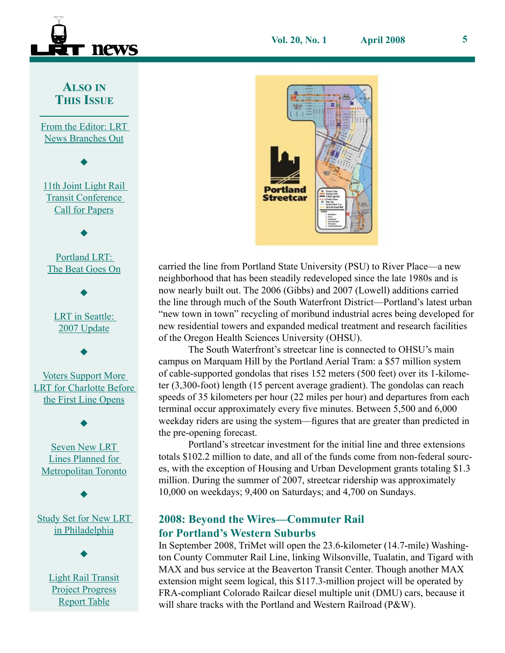



carried the line from Portland State University (PSU) to River Place—a new neighborhood that has been steadily redeveloped since the late 1980s and is now nearly built out. The 2006 (Gibbs) and 2007 (Lowell) additions carried the line through much of the South Waterfront District—Portland's latest urban "new town in town" recycling of moribund industrial acres being developed for<br>"new town in town" recycling of moribund industrial acres being developed for from testaching towers and expanded included the and research race of the Oregon Health Sciences University (OHSU). new residential towers and expanded medical treatment and research facilities

The South Waterfront's streetcar line is connected to OHSU's main campus on Marquam Hill by the Portland Aerial Tram: a \$57 million system of cable-supported gondolas that rises 152 meters (500 feet) over its 1-kilometer (3,300-foot) length (15 percent average gradient). The gondolas can reach speeds of 35 kilometers per hour (22 miles per hour) and departures from each terminal occur approximately every five minutes. Between  $5,500$  and  $6,000$ the pre-opening forecast. weekday riders are using the system—figures that are greater than predicted in

totals \$102.2 million to date, and all of the funds come from non-federal sources, with the exception of Housing and Urban Development grants totaling \$1.3 million. During the summer of 2007, streetcar ridership was approximately  $10,000$  on weekdays;  $9,400$  on Saturdays; and  $4,700$  on Sundays. Portland's streetcar investment for the initial line and three extensions

#### 2008: Beyond the Wires—Commuter Rail for Portland's Western Suburbs

In September 2008, TriMet will open the 23.6-kilometer (14.7-mile) Washington County Commuter Rail Line, linking Wilsonville, Tualatin, and Tigard with MAX and ous service at the Beaverton Transit Center. Though another MAX<br>extension might seem logical, this \$117.3-million project will be operated by EXECUSION INIGHT SECIT TOGICAL, this \$117.5-100000 project with the operated by FRA-compliant Colorado Railcar diesel multiple unit (DMU) cars, because it MAX and bus service at the Beaverton Transit Center. Though another MAX will share tracks with the Portland and Western Railroad (P&W).

**THIS ISSUE**

**ALSO IN**

<u>ni uit Luitvi. L</u><br>.... Deeselses C [News Branches Out](#page-1-0) [From the Editor: LRT](#page-1-0) 

to Tampa

 $\blacklozenge$ 

11th Joint Light Rail Transit Conference [Call for Papers](#page-2-0)

Portland LRT: [The Beat Goes On](#page-3-0)

King of the Road

 $\blacklozenge$ 

LRT in Seattle: 2007 Update

 $\blacklozenge$ 

Voters Support More [LRT for Charlotte Before](#page-10-0)  [the First Line Opens](#page-10-0)

★

 $\blacklozenge$ 

[Seven New LRT](#page-11-0)  [Lines Planned for](#page-11-0)  [Metropolitan Toronto](#page-11-0)

 $\blacklozenge$ 

[Study Set for New LRT](#page-12-0)  [in Philadelphia](#page-12-0)

 $\blacklozenge$ 

 $\blacklozenge$ 

Light Rail Transit Project Progress Report Table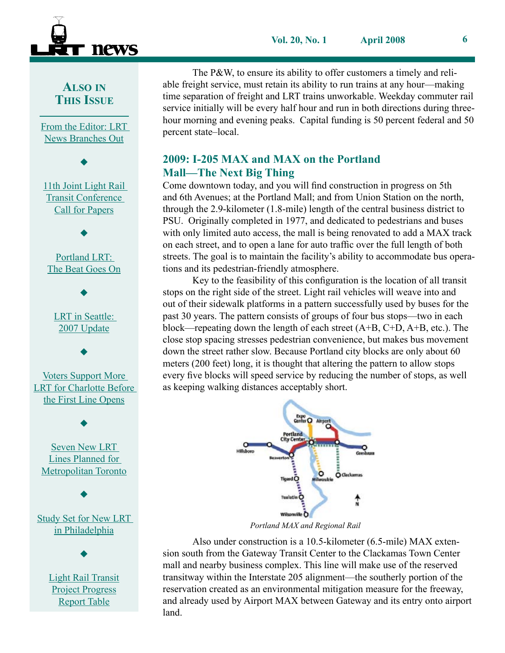



able freight service, must retain its ability to run trains at any hour—making time separation of freight and LRT trains unworkable. Weekday commuter rail<br>service initially will be every half hour and run in both directions during threehour morning and evening peaks. Capital funding is 50 percent federal and 50 percent state-local **Tourists, Convention Attendees, and Commuters** The P&W, to ensure its ability to offer customers a timely and relitime separation of freight and LRT trains unworkable. Weekday commuter rail percent state–local.

#### **Mall—The Next Big Thing 2009: I-205 MAX and MAX on the Portland**

Come downtown today, and you will find construction in progress on 5th and 6th Avenues; at the Portland Mall; and from Union Station on the north, through the 2.9-kilometer  $(1.8\text{-mile})$  length of the central business district to PSU. Originally completed in 1977, and dedicated to pedestrians and buses with only himited adio access, the mail is being renovated to add a MAA trade on each street, and to open a lane for auto traffic over the full length of both on each street, and to open a take to add that we were the ran religion of bother streets. The goal is to maintain the facility's ability to accommodate bus operations and its pedestrian-friendly atmosphere. with only limited auto access, the mall is being renovated to add a MAX track

Key to the feasibility of this configuration is the location of all transit stops on the right side of the street. Light rail vehicles will weave into and out of their sidewalk platforms in a pattern successfully used by buses for the past 30 years. The pattern consists of groups of four bus stops—two in each block—repeating down the length of each street  $(A+B, C+D, A+B, etc.)$ . The From the street rather slow. Because Portland city blocks are only about 60 meters (200 feet) long, it is thought that altering the pattern to allow stops every five blocks will speed service by reducing the number of stops, as well as keeping walking distances acceptably short. close stop spacing stresses pedestrian convenience, but makes bus movement



Portland MAX and Regional Rail

Also under construction is a 10.5-kilometer (6.5-mile) MAX extenat grade with a route to the Clackamas Town Center<br>sion south from the Gateway Transit Center to the Clackamas Town Center mall and nearby business complex. This line will make use of the reserved transitway within the Interstate 205 alignment—the southerly portion of the reservation created as an environmental mitigation measure for the freeway, and already used by Airport MAX between Gateway and its entry onto airport land.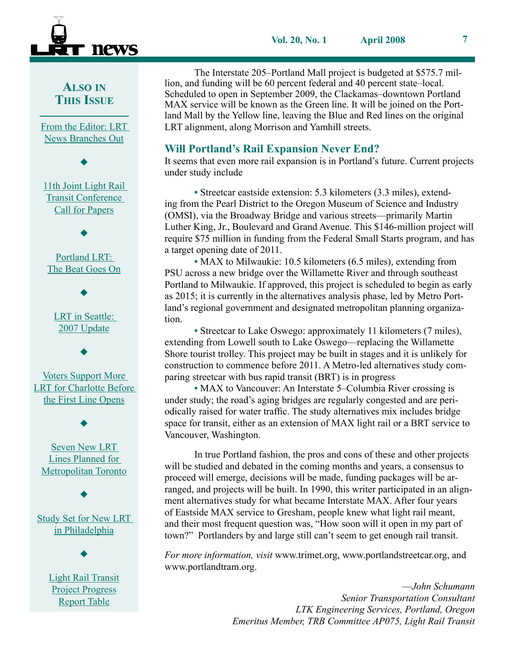

**ALSO IN**

**THIS ISSUE** <u>ni uit Luitvi. L</u><br>.... Deeselses C [News Branches Out](#page-1-0) to Tampa 11th Joint Light Rail Transit Conference King of the Road Portland LRT: [The Beat Goes On](#page-3-0) LRT in Seattle: 2007 Update ★ Voters Support More [From the Editor: LRT](#page-1-0)   $\blacklozenge$ [Call for Papers](#page-2-0)  $\blacklozenge$  $\blacklozenge$  $\blacklozenge$ [LRT for Charlotte Before](#page-10-0)  [the First Line Opens](#page-10-0)  $\blacklozenge$ [Seven New LRT](#page-11-0)  [Lines Planned for](#page-11-0)  [Metropolitan Toronto](#page-11-0)  $\blacklozenge$ [Study Set for New LRT](#page-12-0)  [in Philadelphia](#page-12-0)  $\blacklozenge$ Light Rail Transit Project Progress Report Table

lion, and funding will be 60 percent federal and 40 percent state–local.<br>Sebeduled to one in September 2000, the Claskemes, downtown Pertl RETURN TO THE WARD TO THE SUPPORT 2009, the CHERMINES COMMONT I STRING MAX service will be known as the Green line. It will be joined on the Port-LRT alignment, along Morrison and Yamhill streets. The Interstate 205–Portland Mall project is budgeted at \$575.7 mil-Scheduled to open in September 2009, the Clackamas–downtown Portland land Mall by the Yellow line, leaving the Blue and Red lines on the original

#### **Till Doutland's Dail Expansion Navau End? Will Portland's Rail Expansion Never End?**

under study include It seems that even more rail expansion is in Portland's future. Current projects

to Tampa as the new TECO Line opened for revenue service. Free range of the Rearl District to the Oregon Museum of Science and Industry (OMSI), via the Broadway Bridge and various streets—primarily Martin Luther King, Jr., Boulevard and Grand Avenue. This \$146-million project will require \$75 million in funding from the Federal Small Starts program, and has a target opening date of 2011. **•** Streetcar eastside extension: 5.3 kilometers (3.3 miles), extend-

• MAX to Milwaukie: 10.5 kilometers (6.5 miles), extending from FSO across a new ortuge over the winantelic Kiver and through southeast<br>Portland to Milwaukie. If approved, this project is scheduled to begin as early that in the new line began in the new line began in the new line began in the new line began in the new line began in the alternatives analysis phase, led by Metro Portland's regional government and designated metropolitan planning organization. PSU across a new bridge over the Willamette River and through southeast tion.

• Streetcar to Lake Oswego: approximately 11 kilometers (7 miles), extending from Lowell south to Lake Oswego—replacing the Willamette Shore tourist trolley. This project may be built in stages and it is unlikely for construction to commence hefore  $2011$ . A Metre, led alternatives study comparing streetcar with bus rapid transit (BRT) is in progress construction to commence before 2011. A Metro-led alternatives study com-

**•** MAX to Vancouver: An Interstate 5–Columbia River crossing is under study; the road's aging bridges are regularly congested and are periodically raised for water traffic. The study alternatives mix includes bridge Vancouver, Washington. space for transit, either as an extension of MAX light rail or a BRT service to

In true Portland fashion, the pros and cons of these and other projects will be studied and debated in the coming months and years, a consensus to proceed will emerge, decisions will be made, funding packages will be arranged, and projects will be built. In 1990, this writer participated in an all ment alternatives study for what became Interstate MAX. After four years of Eastside MAX service to Gresham, people knew what light rail meant, and their most frequent question was, "How soon will it open in my part of town?" Portlanders by and large still can't seem to get enough rail transit. ranged, and projects will be built. In 1990, this writer participated in an align-

 $\overline{E}$  and we to  $\overline{E}$  and the rejustice interlocking entropy of the regular entropy of  $\overline{E}$ *For more information, visit* [www.trimet.org](www.trb.org), [www.portlandstreetcar.org](www.trb.org), and www.portlandtram.org  $\ldots$   $\ldots$   $\ldots$   $\ldots$   $\ldots$   $\ldots$   $\ldots$   $\ldots$   $\ldots$   $\ldots$   $\ldots$   $\ldots$   $\ldots$   $\ldots$   $\ldots$   $\ldots$   $\ldots$   $\ldots$   $\ldots$   $\ldots$   $\ldots$   $\ldots$   $\ldots$   $\ldots$   $\ldots$   $\ldots$   $\ldots$   $\ldots$   $\ldots$   $\ldots$   $\ldots$   $\ldots$   $\ldots$   $\ldots$   $\ldots$   $\ldots$   $\ldots$ [www.portlandtram.org.](www.trb.org) 

service begins, customers are mainly tourists and cruise ship —*John Schumann Senior Transportation Consultant LTK Engineering Services, Portland, Oregon Emeritus Member, TRB Committee AP075, Light Rail Transit*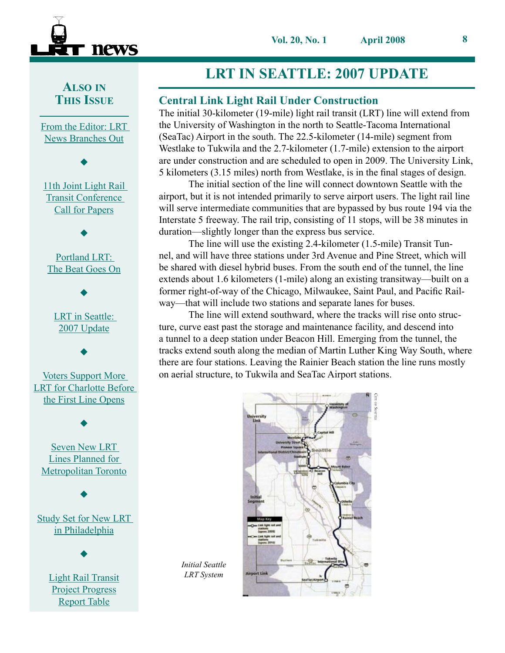<span id="page-7-0"></span>

<u>ni uit Luitvi. L</u><br>.... Deeselses C [News Branches Out](#page-1-0) [From the Editor: LRT](#page-1-0) 

to Tampa

 $\blacklozenge$ 

11th Joint Light Rail Transit Conference [Call for Papers](#page-2-0)

Portland LRT: [The Beat Goes On](#page-3-0)

King of the Road

 $\blacklozenge$ 

LRT in Seattle: 2007 Update

 $\blacklozenge$ 

Voters Support More [LRT for Charlotte Before](#page-10-0)  [the First Line Opens](#page-10-0)

 $\blacklozenge$ 

★

 $\blacklozenge$ 

[Seven New LRT](#page-11-0)  [Lines Planned for](#page-11-0)  [Metropolitan Toronto](#page-11-0)

 $\blacklozenge$ 

[Study Set for New LRT](#page-12-0)  [in Philadelphia](#page-12-0)

> Light Rail Transit Project Progress Report Table

 $\blacklozenge$ 

### **NEW "CLASSIC" STREETCARS LRT IN SEATTLE: 2007 UPDATE**

### **Central Link Light Rail Under Construction**

the University of Washington in the north to Seattle-Tacoma International (SeaTac) Airport in the south. The 22.5-kilometer (14-mile) segment from<br>Westlake to Talawile and the 2.7 kilometer (1.7 mile) sutpraise to the sime 5 kilometers (3.15 miles) north from Westlake, is in the final stages of design. The initial 30-kilometer (19-mile) light rail transit (LRT) line will extend from Westlake to Tukwila and the 2.7-kilometer (1.7-mile) extension to the airport are under construction and are scheduled to open in 2009. The University Link,

The initial section of the line will connect downtown Seattle with the airport, but it is not intended primarily to serve airport users. The light rail line will serve intermediate communities that are bypassed by bus route 194 via the Interstate 5 freeway. The rail trip, consisting of 11 stops, will be 38 minutes in duration a slightly larger than the avances has convice. duration—slightly longer than the express bus service.

The line will use the existing 2.4-kilometer (1.5-mile) Transit Tunnel, and will have three stations under 3rd Avenue and Pine Street, which will be shared with diesel hybrid buses. From the south end of the tunnel, the line extends about 1.6 kilometers (1-mile) along an existing transitway—built on a former right-of-way of the Chicago, Milwaukee, Saint Paul, and Pacific Railway—that will include two stations and separate lanes for buses.

The line will extend southward, where the tracks will rise onto structure, curve east past the storage and maintenance facility, and descend into<br>the storage and Hartline under Peacean Hill, Emerging from the turnal, the a talliner to a deep station under Beacon Tim. Enterging from the talliner, the tracks extend south along the median of Martin Luther King Way South, where there are four stations. Leaving the Rainier Beach station the line runs mostly on aerial structure, to Tukwila and SeaTac Airport stations. a tunnel to a deep station under Beacon Hill. Emerging from the tunnel, the



*Initial Seattle*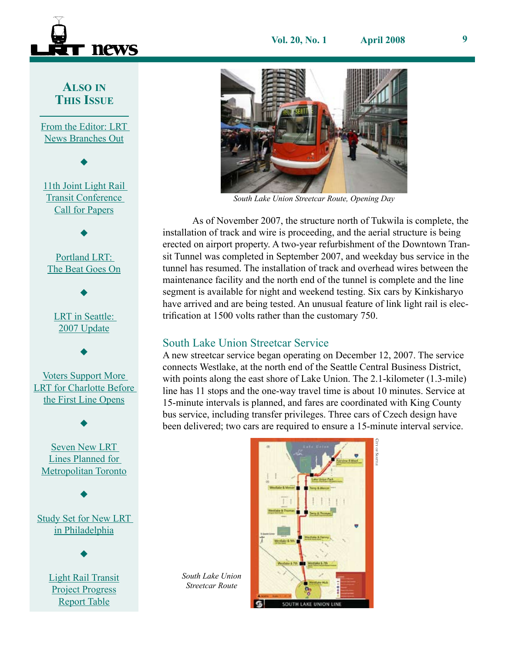

<u>ni uit Luitvi. L</u><br>.... Deeselses C [News Branches Out](#page-1-0) to Tampa

 $\blacklozenge$ 

[From the Editor: LRT](#page-1-0) 

11th Joint Light Rail Transit Conference

[Call for Papers](#page-2-0)

King of the Road

 $\blacklozenge$ 

Portland LRT: [The Beat Goes On](#page-3-0)

LRT in Seattle: 2007 Update

 $\blacklozenge$ 

★

 $\blacklozenge$ 

Voters Support More

[LRT for Charlotte Before](#page-10-0)  [the First Line Opens](#page-10-0)



**South Lake Union Streetcar Route, Opening Day** 

a capacity load all day. It was an auspicious beginning, and rid-As of November 2007, the structure north of Tukwila is complete, the  $\frac{1}{2}$ Instantion of track and wife is proceeding, and the action structure is being<br>erected on airport property. A two-year refurbishment of the Downtown Transit Tunnel was completed in September 2007, and weekday bus service in the sit Tunnel was completed in September 2007, and weekday bus service in the tunnel has resumed. The installation of track and overhead wires between the maintenance facility and the north end of the tunnel is complete and the line segment is available for night and weekend testing. Six cars by Kinkisharyo have arrived and are being tested. An unusual feature of link light rail is electrification at 1500 volts rather than the customary 750. installation of track and wire is proceeding, and the aerial structure is being

## South Lake Union Streetcar Service

A new streetcar service began operating on December 12, 2007. The service connects westake, at the north end of the Seattle Central Business District,<br>with points along the east shore of Lake Union. The 2.1-kilometer (1.3-mile) with points along the cast shore of Eake Union. The  $2.1$ -Khometer (1.5-mile) line has 11 stops and the one-way travel time is about 10 minutes. Service at 15-minute intervals is planned, and fares are coordinated with King County bus service, including transfer privileges. Three cars of Czech design have **Completely New Route** connects Westlake, at the north end of the Seattle Central Business District, been delivered; two cars are required to ensure a 15-minute interval service.

City of Seattle

 $\blacklozenge$ [Seven New LRT](#page-11-0)  [Lines Planned for](#page-11-0)  [Metropolitan Toronto](#page-11-0)  $\blacklozenge$ [Study Set for New LRT](#page-12-0)  [in Philadelphia](#page-12-0)  $\blacklozenge$ Light Rail Transit Project Progress

Report Table

 $T = \frac{1}{2}$ car lines, but it has been strategically positions of the three strategical positions of the three strategical nucleus of an expanded system. The current portion runs from runs from runs from runs from runs from runs from runs from runs from runs from runs from runs from runs from runs from runs from runs from runs from runs from r  $T$ ampa's Convention Center to Ybor City (proposed  $T$ passing by the St. Peterson sports are not be Channel-Channel-Channel-Channel-Channel-Channel-Channel-Channel-Channel-Channel-Channel-Channel-Channel-Channel-Channel-Channel-Channel-Channel-Channel-Channel-Channel-Channelside shopping and entertainment district, the Florida Aquarium, the Florida Aquarium, the Florida Aquarium, the Florida Aquarium, the Florida Aquarium, the Florida Aquarium, the Florida Aquarium, the Florida Aquarium, the  $\frac{1}{\sqrt{2}}$  and the CSX railroad terminals; the CSX railroad terminals; the CSX railroad terminals; the CSX railroad terminals; the CSX railroad terminals; the CSX railroad terminals; the CSX railroad terminals; the CSX at grade with automatic interlocking en route to the rejuvenated Yborghing and entertainment areas. Current clienteless and entertainment areas. Current clienteless and current clients are assumed to the current client control of the current clients are assumed to the current clients of **Couth Lake Union South Lake Union** *South Lake Union* **Streetcar Route begins and cruise ship are mainly to the mainly tourists and cruise ship and cruise ship and cruise ship and cruise ship and cruise ship and cruise ship and cruise ship and cruise ship and cruise ship an** SOUTH LAKE UNION LIN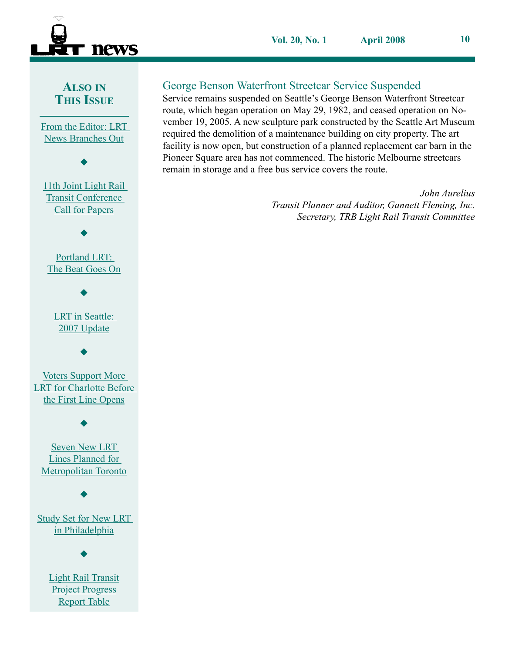

<u>ni uit Luitvi. L</u><br>.... Deeselses C [News Branches Out](#page-1-0) [From the Editor: LRT](#page-1-0) 

to Tampa

 $\blacklozenge$ 

11th Joint Light Rail Transit Conference [Call for Papers](#page-2-0)

King of the Road  $\blacklozenge$ 

Portland LRT: [The Beat Goes On](#page-3-0)

LRT in Seattle: 2007 Update

 $\blacklozenge$ 

★  $\blacklozenge$ 

Voters Support More [LRT for Charlotte Before](#page-10-0)  [the First Line Opens](#page-10-0)

 $\blacklozenge$ 

[Seven New LRT](#page-11-0)  [Lines Planned for](#page-11-0)  [Metropolitan Toronto](#page-11-0)

 $\blacklozenge$ 

[Study Set for New LRT](#page-12-0)  [in Philadelphia](#page-12-0)

 $\blacklozenge$ 

Light Rail Transit Project Progress Report Table

### George Benson Waterfront Streetcar Service Suspended

Service remains suspended on Seattle's George Benson Waterfront Streetcar vember 19, 2005. A new sculpture park constructed by the Seattle Art Museum<br>required the demolition of a maintananage huilding an aity property. The art **Tourists, Convention Attendees, and Commuters** facility is now open, but construction of a planned replacement car barn in the remain in storage and a free bus service covers the route. route, which began operation on May 29, 1982, and ceased operation on Norequired the demolition of a maintenance building on city property. The art Pioneer Square area has not commenced. The historic Melbourne streetcars

 $\overline{t}$ John Aurettus-<br>*Transit Planner and Auditor, Gannett Fleming, Inc.* a capacity load all day. It was an auspicious beginning, and rid-*Secretary, TRB Light Rail Transit Committee*  $\text{sec}(m_y)$  has eight faint framen by *—John Aurelius*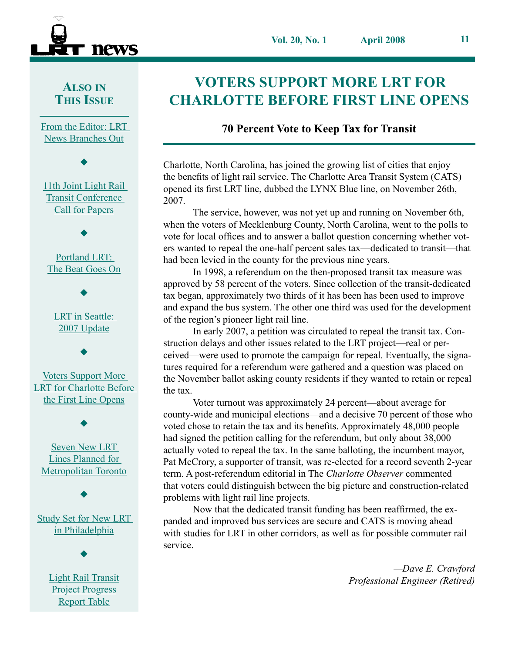<span id="page-10-0"></span>

<u>ni uit Luitvi. L</u><br>.... Deeselses C [News Branches Out](#page-1-0) [From the Editor: LRT](#page-1-0) 

to Tampa

 $\blacklozenge$ 

11th Joint Light Rail Transit Conference [Call for Papers](#page-2-0)

Portland LRT: [The Beat Goes On](#page-3-0)

King of the Road

 $\blacklozenge$ 

LRT in Seattle: 2007 Update

 $\blacklozenge$ 

Voters Support More LRT for Charlotte Before the First Line Opens

★

 $\blacklozenge$ 

[Seven New LRT](#page-11-0)  [Lines Planned for](#page-11-0)  [Metropolitan Toronto](#page-11-0)

 $\blacklozenge$ 

 $\blacklozenge$ 

[Study Set for New LRT](#page-12-0)  [in Philadelphia](#page-12-0)

> Light Rail Transit Project Progress Report Table

 $\blacklozenge$ 

# **VOTERS SUPPORT MORE LRT FOR CHARLOTTE BEFORE FIRST LINE OPENS**

#### **70 Percent Vote to Keep Tax for Transit Tourists, Convention Attendees, and Commuters**

Enarotte, ivolin earonna, has joined the growing list of effects that enjoy the benefits of light rail service. The Charlotte Area Transit System (CATS) are centered of right ran service. The entancies free framer system (errors) opened its first LRT line, dubbed the LYNX Blue line, on November 26th,  $\frac{1}{2007}$ Charlotte, North Carolina, has joined the growing list of cities that enjoy 2007.

The service, however, was not yet up and running on November 6th, when the voters of Mecklenburg County, North Carolina, went to the polls to vote for local offices and to answer a ballot question concerning whether voters wanted to repeal the one-half percent sales tax—dedicated to transit—that had been levied in the county for the previous nine years.

replaced by the business of the previous inner years.<br>In 1998, a referendum on the then-proposed transit tax measure was approved by 58 percent of the voters. Since collection of the transit-dedicated that system of the new line between of the new line between the new line between the second to improve and expand the bus system. The other one third was used for the development of the region's pioneer light rail line.

In early 2007, a petition was circulated to repeal the transit tax. Construction delays and other issues related to the LRT project—real or perceived—were used to promote the campaign for repeal. Eventually, the signathe Neverther follows a company (Technical Company of the Tampa Company (Technical Company) and developed the nation of the Neverther company (Technical Company) and developed the nation of the Neverther company (Technica the November ballot asking county residents if they wanted to retain or repeal<br>the tax tures required for a referendum were gathered and a question was placed on the tax.

new the new state.<br>Voter turnout was approximately 24 percent—about average for county-wide and municipal elections—and a decisive 70 percent of those who had signed the petition calling for the referendum, but only about 38,000 actuariy voted to repear the tax. In the same banoting, the incumbent mayor,<br>Pat McCrory, a supporter of transit, was re-elected for a record seventh 2-year term. A post-referendum editorial in The *Charlotte Observer* commented that voters could distinguish between the big picture and construction-related problems with light rail line projects. voted chose to retain the tax and its benefits. Approximately 48,000 people actually voted to repeal the tax. In the same balloting, the incumbent mayor,

Now that the dedicated transit funding has been reaffirmed, the expanded and improved bus services are secure and CATS is moving ahead with studies for LRT in other corridors, as well as for possible commuter rail at grade with a unit entity interlocking entity interlocking entity  $\alpha$ service.

 $\mathcal{D}$  FC consists of several different groups of people. At 11 a.m. when *Professional Engineer (Retired)* service begins, customers and containing the mainly to *—Dave E. Crawford*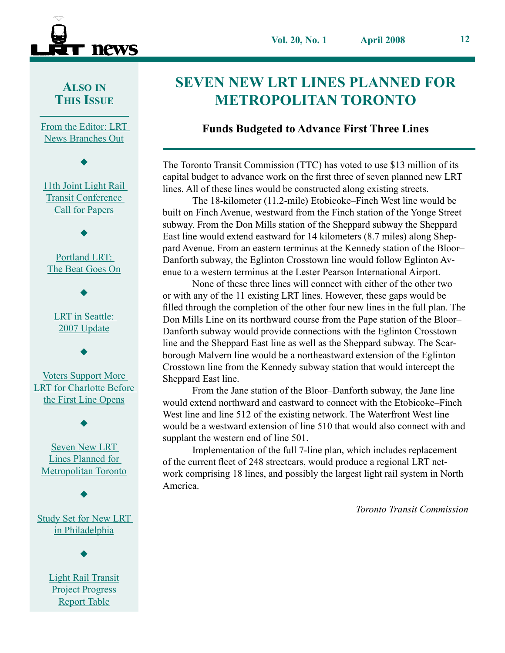<span id="page-11-0"></span>

<u>ni uit Luitvi. L</u><br>.... Deeselses C [News Branches Out](#page-1-0) [From the Editor: LRT](#page-1-0) 

to Tampa

 $\blacklozenge$ 

11th Joint Light Rail Transit Conference [Call for Papers](#page-2-0)

Portland LRT: [The Beat Goes On](#page-3-0)

King of the Road

 $\blacklozenge$ 

LRT in Seattle: 2007 Update

 $\blacklozenge$ 

Voters Support More [LRT for Charlotte Before](#page-10-0)  [the First Line Opens](#page-10-0)

★

 $\blacklozenge$ 

Seven New LRT Lines Planned for Metropolitan Toronto

 $\blacklozenge$ 

 $\blacklozenge$ 

[Study Set for New LRT](#page-12-0)  [in Philadelphia](#page-12-0)

 $\blacklozenge$ 

Light Rail Transit Project Progress Report Table

# **SEVEN NEW LRT LINES PLANNED FOR METROPOLITAN TORONTO**

#### **Funds Budgeted to Advance First Three Lines Tourists, Convention Attendees, and Commuters**

The Totomo Transit Commission (TTC) has voted to ase \$15 immon of its<br>capital budget to advance work on the first three of seven planned new LRT the new Technical constructed along existing streets. The Toronto Transit Commission (TTC) has voted to use \$13 million of its

The 18-kilometer (11.2-mile) Etobicoke–Finch West line would be built on Finch Avenue, westward from the Finch station of the Yonge Street subway. From the Don Mills station of the Sheppard subway the Sheppard East line would extend eastward for 14 kilometers (8.7 miles) along Sheppard Avenue. From an eastern terminus at the Kennedy station of the Bloor– Damorth subway, the Egmiton Crosstown line would follow Egmiton A<br>enue to a western terminus at the Lester Pearson International Airport. Danforth subway, the Eglinton Crosstown line would follow Eglinton Av-

None of these three lines will connect with either of the other two or with any of the 11 existing LRT lines. However, these gaps would be filled through the completion of the other four new lines in the full plan. The Don Mills Line on its northward course from the Pape station of the Bloor– Danforth subway would provide connections with the Eglinton Crosstown line and the Sheppard East line as well as the Sheppard subway. The Scarborough Malvern line would be a northeastward extension of the Eglinton Crosstown line from the Kennedy subway station that would intercept the Shamord Fort line Sheppard East line.

Sheppard East line.<br>From the Jane station of the Bloor–Danforth subway, the Jane line would extend northward and eastward to connect with the Etobicoke–Finch West line and line 512 of the existing network. The Waterfront West line supplant the western end of line 501. would be a westward extension of line 510 that would also connect with and

Implementation of the fun 7-nie plan, which includes replacement of the current fleet of 248 streetcars, would produce a regional LRT net- $\frac{1}{2}$  carrent need to  $\frac{1}{2}$  to streetch strategically position at regional EK1 field nucleus of an expanded system. The current possession runs from runs from runs from runs from runs from runs from runs from runs from runs from runs from runs from runs from runs from runs from runs from runs from runs fro Implementation of the full 7-line plan, which includes replacement work comprising 18 lines, and possibly the largest light rail system in North America.

passing by the St. Pete Times Forum sports arena, the Channel-*—Toronto Transit Commission*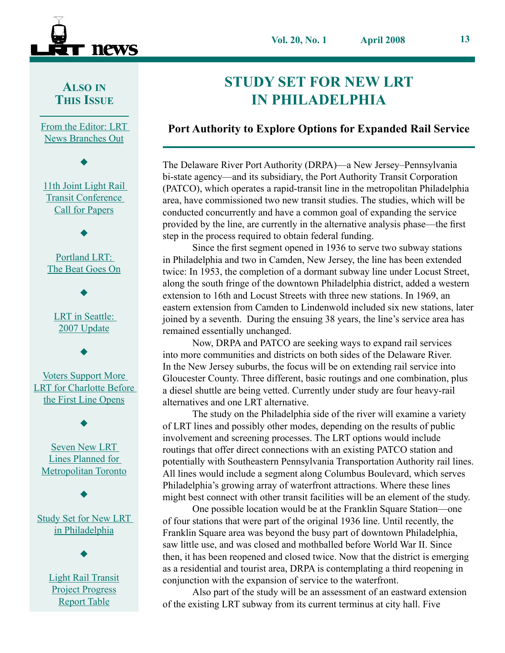<span id="page-12-0"></span>

<u>ni uit Luitvi. L</u><br>.... Deeselses C [News Branches Out](#page-1-0) [From the Editor: LRT](#page-1-0) 

to Tampa

 $\blacklozenge$ 

11th Joint Light Rail Transit Conference [Call for Papers](#page-2-0)

Portland LRT: [The Beat Goes On](#page-3-0)

King of the Road

 $\blacklozenge$ 

LRT in Seattle: 2007 Update

 $\blacklozenge$ 

Voters Support More [LRT for Charlotte Before](#page-10-0)  [the First Line Opens](#page-10-0)

 $\blacklozenge$ 

★

 $\blacklozenge$ 

[Seven New LRT](#page-11-0)  [Lines Planned for](#page-11-0)  [Metropolitan Toronto](#page-11-0)

 $\blacklozenge$ 

Study Set for New LRT in Philadelphia

> Light Rail Transit Project Progress Report Table

 $\blacklozenge$ 

# **STUDY SET FOR NEW LRT RETURN TO TAMPA IN PHILADELPHIA**

## **Port Authority to Explore Options for Expanded Rail Service**

**Tourists, Convention Attendees, and Commuters**

bi-state agency—and its subsidiary, the Port Authority Transit Corporation to Tampa as the new TECO Line opened for revenue service. (PATCO), which operates a rapid-transit line in the metropolitan Philadelphia area, have commissioned two new transit studies. The studies, which will be conducted concurrently and have a common goal of expanding the service provided by the line, are currently in the alternative analysis phase—the first step in the process required to obtain federal funding. The Delaware River Port Authority (DRPA)—a New Jersey–Pennsylvania

Since the first segment opened in 1936 to serve two subway stations<br> $\frac{1}{2}$ In Finadelphia and two in Camden, New Jersey, the line has been extended twice: In 1953, the completion of a dormant subway line under Locust Street, ated by HARTLINE, along the south fringe of the downtown Philadelphia district, added a western extension to 16th and Locust Streets with three new stations. In 1969, an eastern extension from Camden to Lindenwold included six new stations, later joined by a seventh. During the ensuing 38 years, the line's service area has remained essentially unchanged. in Philadelphia and two in Camden, New Jersey, the line has been extended

Now, DRPA and PATCO are seeking ways to expand rail services into more communities and districts on both sides of the Delaware River. In the New Jersey subtifules, the Tocus will be on extending ran service into<br>Gloucester County. Three different, basic routings and one combination, plus Tampa's original streetcar line and has purchased the right to a diesel shuttle are being vetted. Currently under study are four heavy-rail a meeting manufacture of the new system Theorem The Technique is actually the Technical System. In the New Jersey suburbs, the focus will be on extending rail service into

The study on the Philadelphia side of the river will examine a variety involvement and screening processes. The LRT options would include Fourings that offer threet connections with an existing FATCO station and potentially with Southeastern Pennsylvania Transportation Authority rail lines. potentiary with southeastern remisyrvania transportation reducity ran line<br>All lines would include a segment along Columbus Boulevard, which serves Philadelphia's growing array of waterfront attractions. Where these lines might best connect with other transit facilities will be an element of the study. of LRT lines and possibly other modes, depending on the results of public routings that offer direct connections with an existing PATCO station and

One possible location would be at the Franklin Square Station—one of four stations that were part of the original 1936 line. Until recently, the Franklin Square area was beyond the busy part of downtown Philadelphia, saw little use, and was closed and mothballed before World War II. Since then, it has been reopened and closed twice. Now that the district is emerging  $\epsilon_0$  are assistantial and termint area. DDDA is expressed this properties in as a residential and tourist area, DKTA is contemplating a time reoperation with the expansion of service to the waterfront. as a residential and tourist area, DRPA is contemplating a third reopening in

edificition with the expansion of service to the watermont.<br>Also part of the study will be an assessment of an eastward extension of the existing LRT subway from its current terminus at city hall. Five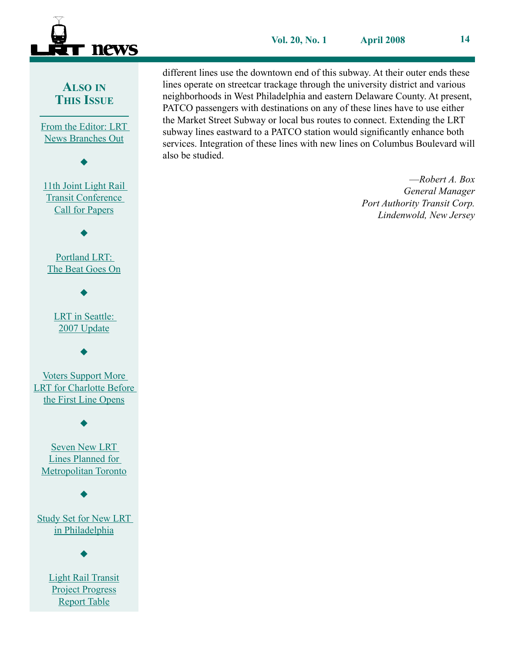

lines operate on streetcar trackage through the university district and various neignoornoods in west Philadelphia and eastern Delaware County. At presen<br>PATCO passengers with destinations on any of these lines have to use either Ine Market Subet Subway of focal bus foures to connect. Extending the EKI<br>subway lines eastward to a PATCO station would significantly enhance both **The lines cancel at the Commute Commuters** is the commute of the commuter of the services. Integration of these lines with new lines on Columbus Boulevard will different lines use the downtown end of this subway. At their outer ends these neighborhoods in West Philadelphia and eastern Delaware County. At present, the Market Street Subway or local bus routes to connect. Extending the LRT also be studied.

 $\overline{p}$ , 2002, electric streetcars triumphantly returned returned returned returned returned returned returned returned returned returned returned returned returned returned returned returned returned returned returned r  $t$  Though  $t$ Free *rate manager*<br>*Port Authority Transit Corp.* a capacity load all day. It was an auspicious beginning, and rid-*Lindenwold, New Jersey*—*Robert A. Box General Manager*

#### **ALSO IN THIS ISSUE**

<u>ni uit Luitvi. L</u><br>.... Deeselses C [News Branches Out](#page-1-0) [From the Editor: LRT](#page-1-0) 

to Tampa

 $\blacklozenge$ 

11th Joint Light Rail Transit Conference [Call for Papers](#page-2-0)

King of the Road  $\blacklozenge$ 

Portland LRT: [The Beat Goes On](#page-3-0)

LRT in Seattle: 2007 Update

 $\blacklozenge$ 

★  $\blacklozenge$ 

Voters Support More [LRT for Charlotte Before](#page-10-0)  [the First Line Opens](#page-10-0)

 $\blacklozenge$ 

[Seven New LRT](#page-11-0)  [Lines Planned for](#page-11-0)  [Metropolitan Toronto](#page-11-0)

 $\blacklozenge$ 

[Study Set for New LRT](#page-12-0)  [in Philadelphia](#page-12-0)

 $\blacklozenge$ 

Light Rail Transit Project Progress Report Table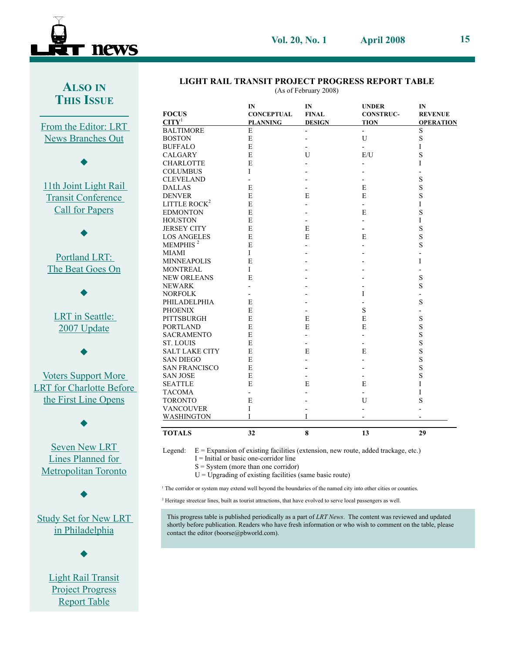<span id="page-14-0"></span>

## **LIGHT RAIL TRANSIT PROJECT PROGRESS REPORT TABLE**<br>(As of February 2008)

(As of February 2008)

| <b>FOCUS</b><br>$\mathbf{C}\mathbf{I}\mathbf{T}\mathbf{Y}^1$ | IN<br><b>CONCEPTUAL</b><br><b>PLANNING</b> | IN<br><b>FINAL</b><br><b>DESIGN</b> | <b>UNDER</b><br><b>CONSTRUC-</b><br><b>TION</b> | IN<br><b>REVENUE</b><br><b>OPERATION</b> |
|--------------------------------------------------------------|--------------------------------------------|-------------------------------------|-------------------------------------------------|------------------------------------------|
| <b>BALTIMORE</b>                                             | E                                          | ٠                                   | $\blacksquare$                                  | S                                        |
| <b>BOSTON</b>                                                | E                                          |                                     | U                                               | $\mathbf S$                              |
| <b>BUFFALO</b>                                               | E                                          |                                     |                                                 | L                                        |
| <b>CALGARY</b>                                               | E                                          | U                                   | E/U                                             | S                                        |
| <b>CHARLOTTE</b>                                             | E                                          |                                     |                                                 | I                                        |
| <b>COLUMBUS</b>                                              | I                                          |                                     |                                                 |                                          |
| <b>CLEVELAND</b>                                             | $\overline{\phantom{0}}$                   |                                     | $\blacksquare$                                  | S                                        |
| <b>DALLAS</b>                                                | E                                          |                                     | E                                               | S                                        |
| <b>DENVER</b>                                                | E                                          | E                                   | E                                               | S                                        |
| LITTLE ROCK <sup>2</sup>                                     | E                                          |                                     | $\overline{a}$                                  | I                                        |
| <b>EDMONTON</b>                                              | E                                          |                                     | E                                               | S                                        |
| <b>HOUSTON</b>                                               | E                                          |                                     |                                                 | I                                        |
| <b>JERSEY CITY</b>                                           | E                                          | Е                                   | ۰                                               | S                                        |
| <b>LOS ANGELES</b>                                           | E                                          | E                                   | E                                               | S                                        |
| MEMPHIS <sup>2</sup>                                         | E                                          |                                     |                                                 | S                                        |
| <b>MIAMI</b>                                                 | L                                          |                                     |                                                 |                                          |
| <b>MINNEAPOLIS</b>                                           | E                                          |                                     |                                                 | I                                        |
| <b>MONTREAL</b>                                              | L                                          |                                     |                                                 |                                          |
| <b>NEW ORLEANS</b>                                           | E                                          |                                     |                                                 | S                                        |
| <b>NEWARK</b>                                                |                                            |                                     |                                                 | S                                        |
| <b>NORFOLK</b>                                               |                                            |                                     | I                                               |                                          |
| PHILADELPHIA                                                 | E                                          |                                     |                                                 | S                                        |
| <b>PHOENIX</b>                                               | E                                          |                                     | S                                               |                                          |
| PITTSBURGH                                                   | E                                          | E                                   | E                                               | S                                        |
| <b>PORTLAND</b>                                              | E                                          | E                                   | E                                               | S                                        |
| <b>SACRAMENTO</b>                                            | E                                          |                                     | $\overline{a}$                                  | S                                        |
| <b>ST. LOUIS</b>                                             | E                                          |                                     |                                                 | S                                        |
| <b>SALT LAKE CITY</b>                                        | E                                          | E                                   | E                                               | S                                        |
| <b>SAN DIEGO</b>                                             | E                                          |                                     |                                                 | S                                        |
| <b>SAN FRANCISCO</b>                                         | E                                          |                                     |                                                 | S                                        |
| <b>SAN JOSE</b>                                              | E                                          |                                     |                                                 | S                                        |
| <b>SEATTLE</b>                                               | E                                          | E                                   | E                                               | I                                        |
| <b>TACOMA</b>                                                | ÷.                                         |                                     | ٠                                               | I                                        |
| <b>TORONTO</b>                                               | E                                          |                                     | U                                               | S                                        |
| <b>VANCOUVER</b>                                             | I                                          |                                     |                                                 |                                          |
| <b>WASHINGTON</b>                                            | T                                          |                                     |                                                 | ٠                                        |
| <b>TOTALS</b>                                                | 32                                         | 8                                   | 13                                              | 29                                       |

Legend:  $E =$  Expansion of existing facilities (extension, new route, added trackage, etc.)  $I =$  Initial or basic one-corridor line I = Initial or basic one-corridor line

 $S = System$  (more than one corridor)<br> $I = I$  has been strategically position (come has in parts) U = Upgrading of existing facilities (same basic route)

<sup>1</sup> The corridor or system may extend well beyond the boundaries of the named city into other cities or counties.

<sup>2</sup> Heritage streetcar lines, built as tourist attractions, that have evolved to serve local passengers as well.

This progress table is published periodically as a part of LRT News. The content was reviewed and updated I has progress table is published periodically as a part of *LR1 News*. The content was reviewed and updated shortly before publication. Readers who have fresh information or who wish to comment on the table, please and the editor (boorse@pbworld.com).<br>
contact the editor (boorse@pbworld.com).

at grade with automatic interlocking entropy  $\mathcal{L}_\mathbf{z}$ 

[News Branches Out](#page-1-0) to Tampa  $\blacklozenge$ 

<u>ni uit Luitvi. L</u><br>.... Deeselses C

[From the Editor: LRT](#page-1-0) 

11th Joint Light Rail Transit Conference [Call for Papers](#page-2-0)

King of the Road  $\blacklozenge$ 

Portland LRT: [The Beat Goes On](#page-3-0)

LRT in Seattle: 2007 Update

 $\blacklozenge$ 

Voters Support More [LRT for Charlotte Before](#page-10-0)  [the First Line Opens](#page-10-0)

★

 $\blacklozenge$ 

[Seven New LRT](#page-11-0)  [Lines Planned for](#page-11-0)  [Metropolitan Toronto](#page-11-0)

 $\blacklozenge$ 

 $\blacklozenge$ 

[Study Set for New LRT](#page-12-0)  [in Philadelphia](#page-12-0)

 $\blacklozenge$ 

Light Rail Transit Project Progress Report Table